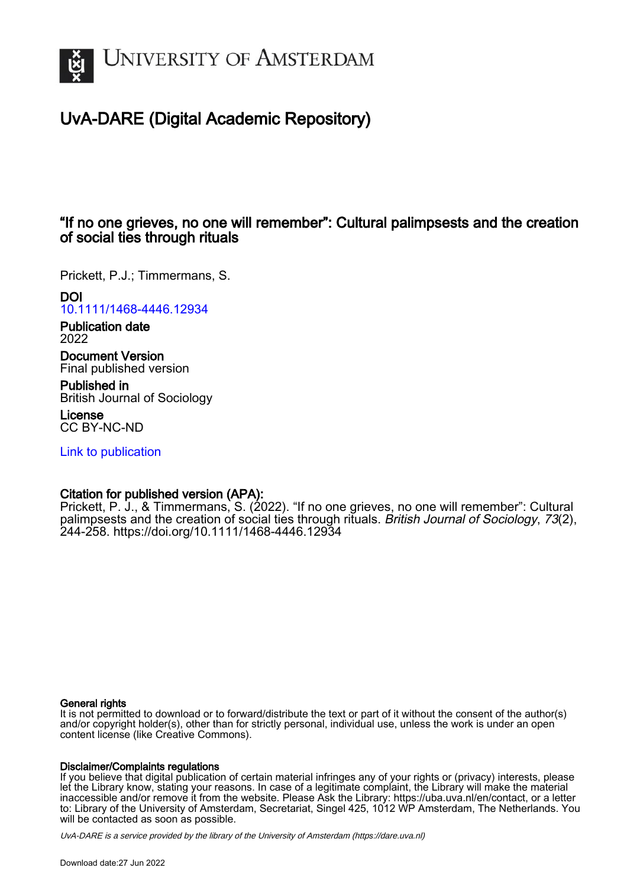

# UvA-DARE (Digital Academic Repository)

# "If no one grieves, no one will remember": Cultural palimpsests and the creation of social ties through rituals

Prickett, P.J.; Timmermans, S.

## DOI

[10.1111/1468-4446.12934](https://doi.org/10.1111/1468-4446.12934)

Publication date 2022

Document Version Final published version

Published in British Journal of Sociology

License CC BY-NC-ND

[Link to publication](https://dare.uva.nl/personal/pure/en/publications/if-no-one-grieves-no-one-will-remember-cultural-palimpsests-and-the-creation-of-social-ties-through-rituals(22006e96-4e82-49c9-85d7-e5782a7d8b81).html)

## Citation for published version (APA):

Prickett, P. J., & Timmermans, S. (2022). "If no one grieves, no one will remember": Cultural palimpsests and the creation of social ties through rituals. British Journal of Sociology, 73(2), 244-258. <https://doi.org/10.1111/1468-4446.12934>

## General rights

It is not permitted to download or to forward/distribute the text or part of it without the consent of the author(s) and/or copyright holder(s), other than for strictly personal, individual use, unless the work is under an open content license (like Creative Commons).

## Disclaimer/Complaints regulations

If you believe that digital publication of certain material infringes any of your rights or (privacy) interests, please let the Library know, stating your reasons. In case of a legitimate complaint, the Library will make the material inaccessible and/or remove it from the website. Please Ask the Library: https://uba.uva.nl/en/contact, or a letter to: Library of the University of Amsterdam, Secretariat, Singel 425, 1012 WP Amsterdam, The Netherlands. You will be contacted as soon as possible.

UvA-DARE is a service provided by the library of the University of Amsterdam (http*s*://dare.uva.nl)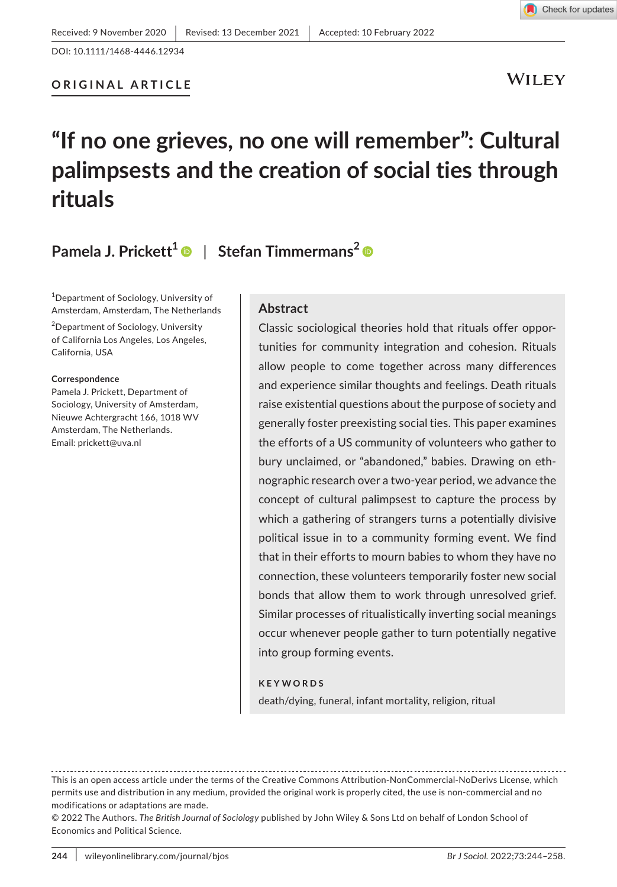**WILEY** 

Check for updates

# **"If no one grieves, no one will remember": Cultural palimpsests and the creation of social ties through rituals**

**Pamela J. Prickett[1](https://orcid.org/0000-0002-1370-4803)** | **Stefan Timmermans2**

1 Department of Sociology, University of Amsterdam, Amsterdam, The Netherlands

<sup>2</sup>Department of Sociology, University of California Los Angeles, Los Angeles, California, USA

#### **Correspondence**

Pamela J. Prickett, Department of Sociology, University of Amsterdam, Nieuwe Achtergracht 166, 1018 WV Amsterdam, The Netherlands. Email: [prickett@uva.nl](mailto:prickett@uva.nl)

#### **Abstract**

Classic sociological theories hold that rituals offer opportunities for community integration and cohesion. Rituals allow people to come together across many differences and experience similar thoughts and feelings. Death rituals raise existential questions about the purpose of society and generally foster preexisting social ties. This paper examines the efforts of a US community of volunteers who gather to bury unclaimed, or "abandoned," babies. Drawing on ethnographic research over a two-year period, we advance the concept of cultural palimpsest to capture the process by which a gathering of strangers turns a potentially divisive political issue in to a community forming event. We find that in their efforts to mourn babies to whom they have no connection, these volunteers temporarily foster new social bonds that allow them to work through unresolved grief. Similar processes of ritualistically inverting social meanings occur whenever people gather to turn potentially negative into group forming events.

#### **KEYWORDS**

death/dying, funeral, infant mortality, religion, ritual

This is an open access article under the terms of the [Creative Commons Attribution-NonCommercial-NoDerivs](http://creativecommons.org/licenses/by-nc-nd/4.0/) License, which permits use and distribution in any medium, provided the original work is properly cited, the use is non-commercial and no modifications or adaptations are made.

<sup>© 2022</sup> The Authors. *The British Journal of Sociology* published by John Wiley & Sons Ltd on behalf of London School of Economics and Political Science.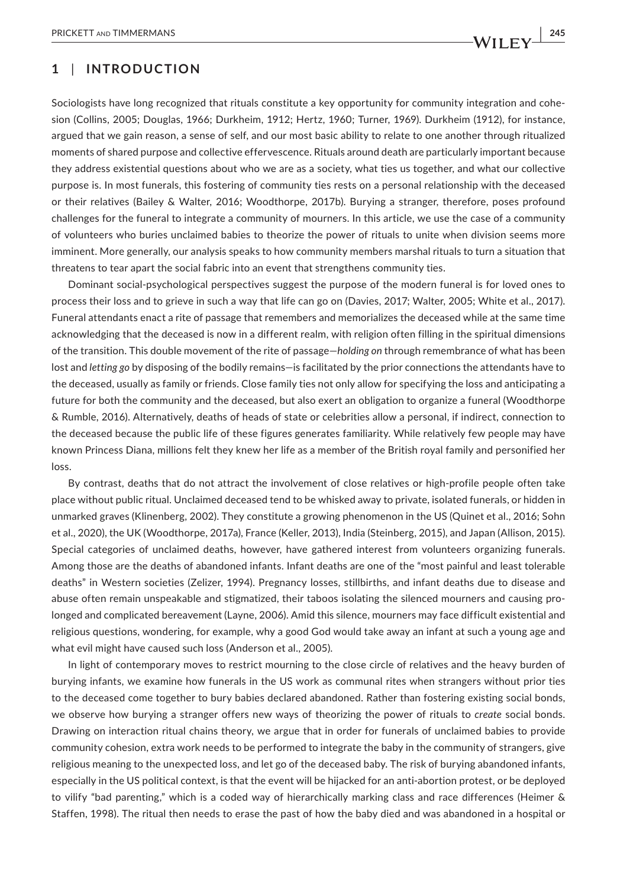## **1** | **INTRODUCTION**

Sociologists have long recognized that rituals constitute a key opportunity for community integration and cohesion (Collins, 2005; Douglas, 1966; Durkheim, 1912; Hertz, 1960; Turner, 1969). Durkheim (1912), for instance, argued that we gain reason, a sense of self, and our most basic ability to relate to one another through ritualized moments of shared purpose and collective effervescence. Rituals around death are particularly important because they address existential questions about who we are as a society, what ties us together, and what our collective purpose is. In most funerals, this fostering of community ties rests on a personal relationship with the deceased or their relatives (Bailey & Walter, 2016; Woodthorpe, 2017b). Burying a stranger, therefore, poses profound challenges for the funeral to integrate a community of mourners. In this article, we use the case of a community of volunteers who buries unclaimed babies to theorize the power of rituals to unite when division seems more imminent. More generally, our analysis speaks to how community members marshal rituals to turn a situation that threatens to tear apart the social fabric into an event that strengthens community ties.

Dominant social-psychological perspectives suggest the purpose of the modern funeral is for loved ones to process their loss and to grieve in such a way that life can go on (Davies, 2017; Walter, 2005; White et al., 2017). Funeral attendants enact a rite of passage that remembers and memorializes the deceased while at the same time acknowledging that the deceased is now in a different realm, with religion often filling in the spiritual dimensions of the transition. This double movement of the rite of passage—*holding on* through remembrance of what has been lost and *letting go* by disposing of the bodily remains—is facilitated by the prior connections the attendants have to the deceased, usually as family or friends. Close family ties not only allow for specifying the loss and anticipating a future for both the community and the deceased, but also exert an obligation to organize a funeral (Woodthorpe & Rumble, 2016). Alternatively, deaths of heads of state or celebrities allow a personal, if indirect, connection to the deceased because the public life of these figures generates familiarity. While relatively few people may have known Princess Diana, millions felt they knew her life as a member of the British royal family and personified her loss.

By contrast, deaths that do not attract the involvement of close relatives or high-profile people often take place without public ritual. Unclaimed deceased tend to be whisked away to private, isolated funerals, or hidden in unmarked graves (Klinenberg, 2002). They constitute a growing phenomenon in the US (Quinet et al., 2016; Sohn et al., 2020), the UK (Woodthorpe, 2017a), France (Keller, 2013), India (Steinberg, 2015), and Japan (Allison, 2015). Special categories of unclaimed deaths, however, have gathered interest from volunteers organizing funerals. Among those are the deaths of abandoned infants. Infant deaths are one of the "most painful and least tolerable deaths" in Western societies (Zelizer, 1994). Pregnancy losses, stillbirths, and infant deaths due to disease and abuse often remain unspeakable and stigmatized, their taboos isolating the silenced mourners and causing prolonged and complicated bereavement (Layne, 2006). Amid this silence, mourners may face difficult existential and religious questions, wondering, for example, why a good God would take away an infant at such a young age and what evil might have caused such loss (Anderson et al., 2005).

In light of contemporary moves to restrict mourning to the close circle of relatives and the heavy burden of burying infants, we examine how funerals in the US work as communal rites when strangers without prior ties to the deceased come together to bury babies declared abandoned. Rather than fostering existing social bonds, we observe how burying a stranger offers new ways of theorizing the power of rituals to *create* social bonds. Drawing on interaction ritual chains theory, we argue that in order for funerals of unclaimed babies to provide community cohesion, extra work needs to be performed to integrate the baby in the community of strangers, give religious meaning to the unexpected loss, and let go of the deceased baby. The risk of burying abandoned infants, especially in the US political context, is that the event will be hijacked for an anti-abortion protest, or be deployed to vilify "bad parenting," which is a coded way of hierarchically marking class and race differences (Heimer & Staffen, 1998). The ritual then needs to erase the past of how the baby died and was abandoned in a hospital or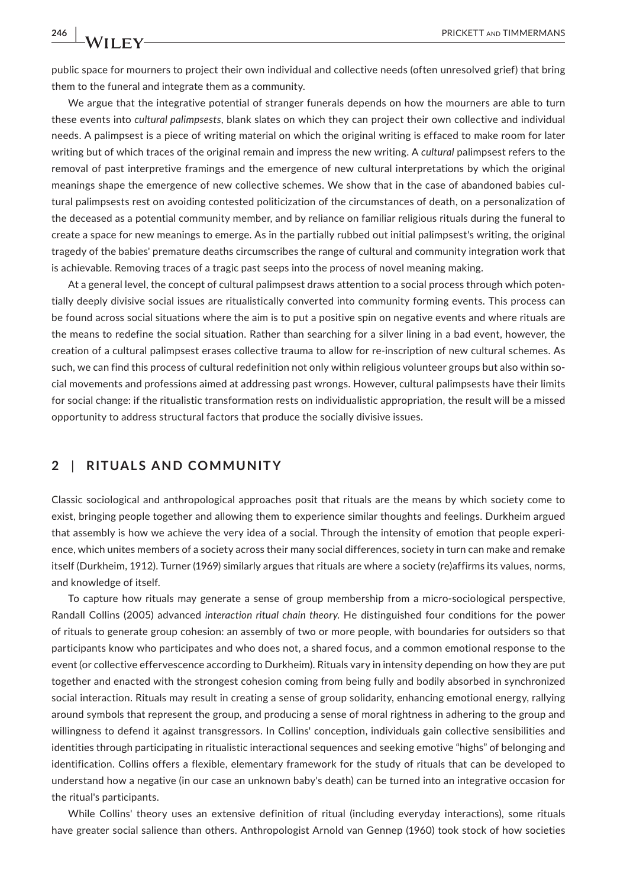public space for mourners to project their own individual and collective needs (often unresolved grief) that bring them to the funeral and integrate them as a community.

We argue that the integrative potential of stranger funerals depends on how the mourners are able to turn these events into *cultural palimpsests*, blank slates on which they can project their own collective and individual needs. A palimpsest is a piece of writing material on which the original writing is effaced to make room for later writing but of which traces of the original remain and impress the new writing. A *cultural* palimpsest refers to the removal of past interpretive framings and the emergence of new cultural interpretations by which the original meanings shape the emergence of new collective schemes. We show that in the case of abandoned babies cultural palimpsests rest on avoiding contested politicization of the circumstances of death, on a personalization of the deceased as a potential community member, and by reliance on familiar religious rituals during the funeral to create a space for new meanings to emerge. As in the partially rubbed out initial palimpsest's writing, the original tragedy of the babies' premature deaths circumscribes the range of cultural and community integration work that is achievable. Removing traces of a tragic past seeps into the process of novel meaning making.

At a general level, the concept of cultural palimpsest draws attention to a social process through which potentially deeply divisive social issues are ritualistically converted into community forming events. This process can be found across social situations where the aim is to put a positive spin on negative events and where rituals are the means to redefine the social situation. Rather than searching for a silver lining in a bad event, however, the creation of a cultural palimpsest erases collective trauma to allow for re-inscription of new cultural schemes. As such, we can find this process of cultural redefinition not only within religious volunteer groups but also within social movements and professions aimed at addressing past wrongs. However, cultural palimpsests have their limits for social change: if the ritualistic transformation rests on individualistic appropriation, the result will be a missed opportunity to address structural factors that produce the socially divisive issues.

## **2** | **RITUALS AND COMMUNITY**

Classic sociological and anthropological approaches posit that rituals are the means by which society come to exist, bringing people together and allowing them to experience similar thoughts and feelings. Durkheim argued that assembly is how we achieve the very idea of a social. Through the intensity of emotion that people experience, which unites members of a society across their many social differences, society in turn can make and remake itself (Durkheim, 1912). Turner (1969) similarly argues that rituals are where a society (re)affirms its values, norms, and knowledge of itself.

To capture how rituals may generate a sense of group membership from a micro-sociological perspective, Randall Collins (2005) advanced *interaction ritual chain theory*. He distinguished four conditions for the power of rituals to generate group cohesion: an assembly of two or more people, with boundaries for outsiders so that participants know who participates and who does not, a shared focus, and a common emotional response to the event (or collective effervescence according to Durkheim). Rituals vary in intensity depending on how they are put together and enacted with the strongest cohesion coming from being fully and bodily absorbed in synchronized social interaction. Rituals may result in creating a sense of group solidarity, enhancing emotional energy, rallying around symbols that represent the group, and producing a sense of moral rightness in adhering to the group and willingness to defend it against transgressors. In Collins' conception, individuals gain collective sensibilities and identities through participating in ritualistic interactional sequences and seeking emotive "highs" of belonging and identification. Collins offers a flexible, elementary framework for the study of rituals that can be developed to understand how a negative (in our case an unknown baby's death) can be turned into an integrative occasion for the ritual's participants.

While Collins' theory uses an extensive definition of ritual (including everyday interactions), some rituals have greater social salience than others. Anthropologist Arnold van Gennep (1960) took stock of how societies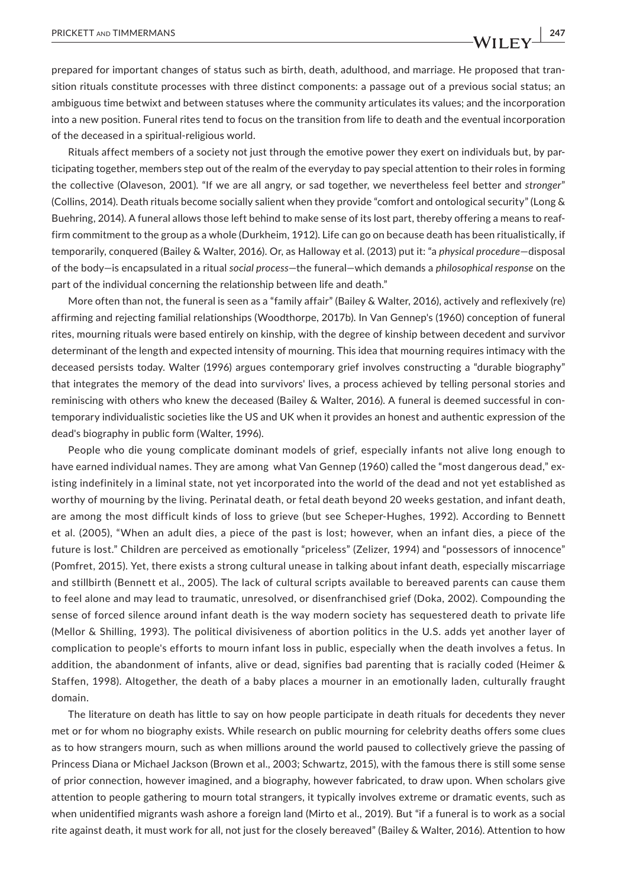prepared for important changes of status such as birth, death, adulthood, and marriage. He proposed that tran-

sition rituals constitute processes with three distinct components: a passage out of a previous social status; an ambiguous time betwixt and between statuses where the community articulates its values; and the incorporation into a new position. Funeral rites tend to focus on the transition from life to death and the eventual incorporation of the deceased in a spiritual-religious world.

Rituals affect members of a society not just through the emotive power they exert on individuals but, by participating together, members step out of the realm of the everyday to pay special attention to their roles in forming the collective (Olaveson, 2001). "If we are all angry, or sad together, we nevertheless feel better and *stronger*" (Collins, 2014). Death rituals become socially salient when they provide "comfort and ontological security" (Long & Buehring, 2014). A funeral allows those left behind to make sense of its lost part, thereby offering a means to reaffirm commitment to the group as a whole (Durkheim, 1912). Life can go on because death has been ritualistically, if temporarily, conquered (Bailey & Walter, 2016). Or, as Halloway et al. (2013) put it: "a *physical procedure*—disposal of the body—is encapsulated in a ritual *social process*—the funeral—which demands a *philosophical response* on the part of the individual concerning the relationship between life and death."

More often than not, the funeral is seen as a "family affair" (Bailey & Walter, 2016), actively and reflexively (re) affirming and rejecting familial relationships (Woodthorpe, 2017b). In Van Gennep's (1960) conception of funeral rites, mourning rituals were based entirely on kinship, with the degree of kinship between decedent and survivor determinant of the length and expected intensity of mourning. This idea that mourning requires intimacy with the deceased persists today. Walter (1996) argues contemporary grief involves constructing a "durable biography" that integrates the memory of the dead into survivors' lives, a process achieved by telling personal stories and reminiscing with others who knew the deceased (Bailey & Walter, 2016). A funeral is deemed successful in contemporary individualistic societies like the US and UK when it provides an honest and authentic expression of the dead's biography in public form (Walter, 1996).

People who die young complicate dominant models of grief, especially infants not alive long enough to have earned individual names. They are among what Van Gennep (1960) called the "most dangerous dead," existing indefinitely in a liminal state, not yet incorporated into the world of the dead and not yet established as worthy of mourning by the living. Perinatal death, or fetal death beyond 20 weeks gestation, and infant death, are among the most difficult kinds of loss to grieve (but see Scheper-Hughes, 1992). According to Bennett et al. (2005), "When an adult dies, a piece of the past is lost; however, when an infant dies, a piece of the future is lost." Children are perceived as emotionally "priceless" (Zelizer, 1994) and "possessors of innocence" (Pomfret, 2015). Yet, there exists a strong cultural unease in talking about infant death, especially miscarriage and stillbirth (Bennett et al., 2005). The lack of cultural scripts available to bereaved parents can cause them to feel alone and may lead to traumatic, unresolved, or disenfranchised grief (Doka, 2002). Compounding the sense of forced silence around infant death is the way modern society has sequestered death to private life (Mellor & Shilling, 1993). The political divisiveness of abortion politics in the U.S. adds yet another layer of complication to people's efforts to mourn infant loss in public, especially when the death involves a fetus. In addition, the abandonment of infants, alive or dead, signifies bad parenting that is racially coded (Heimer & Staffen, 1998). Altogether, the death of a baby places a mourner in an emotionally laden, culturally fraught domain.

The literature on death has little to say on how people participate in death rituals for decedents they never met or for whom no biography exists. While research on public mourning for celebrity deaths offers some clues as to how strangers mourn, such as when millions around the world paused to collectively grieve the passing of Princess Diana or Michael Jackson (Brown et al., 2003; Schwartz, 2015), with the famous there is still some sense of prior connection, however imagined, and a biography, however fabricated, to draw upon. When scholars give attention to people gathering to mourn total strangers, it typically involves extreme or dramatic events, such as when unidentified migrants wash ashore a foreign land (Mirto et al., 2019). But "if a funeral is to work as a social rite against death, it must work for all, not just for the closely bereaved" (Bailey & Walter, 2016). Attention to how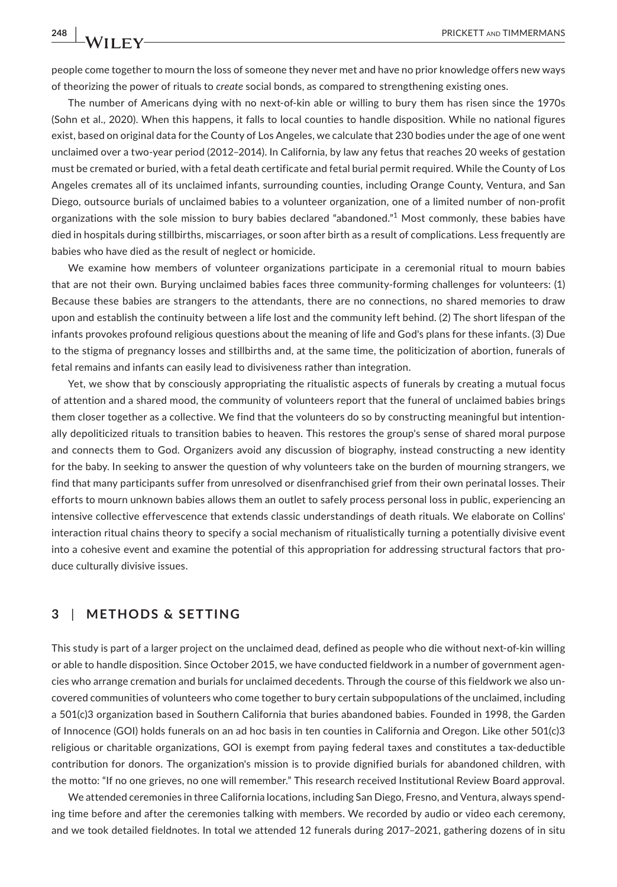people come together to mourn the loss of someone they never met and have no prior knowledge offers new ways of theorizing the power of rituals to *create* social bonds, as compared to strengthening existing ones.

The number of Americans dying with no next-of-kin able or willing to bury them has risen since the 1970s (Sohn et al., 2020). When this happens, it falls to local counties to handle disposition. While no national figures exist, based on original data for the County of Los Angeles, we calculate that 230 bodies under the age of one went unclaimed over a two-year period (2012–2014). In California, by law any fetus that reaches 20 weeks of gestation must be cremated or buried, with a fetal death certificate and fetal burial permit required. While the County of Los Angeles cremates all of its unclaimed infants, surrounding counties, including Orange County, Ventura, and San Diego, outsource burials of unclaimed babies to a volunteer organization, one of a limited number of non-profit organizations with the sole mission to bury babies declared "abandoned."<sup>1</sup> Most commonly, these babies have died in hospitals during stillbirths, miscarriages, or soon after birth as a result of complications. Less frequently are babies who have died as the result of neglect or homicide.

We examine how members of volunteer organizations participate in a ceremonial ritual to mourn babies that are not their own. Burying unclaimed babies faces three community-forming challenges for volunteers: (1) Because these babies are strangers to the attendants, there are no connections, no shared memories to draw upon and establish the continuity between a life lost and the community left behind. (2) The short lifespan of the infants provokes profound religious questions about the meaning of life and God's plans for these infants. (3) Due to the stigma of pregnancy losses and stillbirths and, at the same time, the politicization of abortion, funerals of fetal remains and infants can easily lead to divisiveness rather than integration.

Yet, we show that by consciously appropriating the ritualistic aspects of funerals by creating a mutual focus of attention and a shared mood, the community of volunteers report that the funeral of unclaimed babies brings them closer together as a collective. We find that the volunteers do so by constructing meaningful but intentionally depoliticized rituals to transition babies to heaven. This restores the group's sense of shared moral purpose and connects them to God. Organizers avoid any discussion of biography, instead constructing a new identity for the baby. In seeking to answer the question of why volunteers take on the burden of mourning strangers, we find that many participants suffer from unresolved or disenfranchised grief from their own perinatal losses. Their efforts to mourn unknown babies allows them an outlet to safely process personal loss in public, experiencing an intensive collective effervescence that extends classic understandings of death rituals. We elaborate on Collins' interaction ritual chains theory to specify a social mechanism of ritualistically turning a potentially divisive event into a cohesive event and examine the potential of this appropriation for addressing structural factors that produce culturally divisive issues.

## **3** | **METHODS & SETTING**

This study is part of a larger project on the unclaimed dead, defined as people who die without next-of-kin willing or able to handle disposition. Since October 2015, we have conducted fieldwork in a number of government agencies who arrange cremation and burials for unclaimed decedents. Through the course of this fieldwork we also uncovered communities of volunteers who come together to bury certain subpopulations of the unclaimed, including a 501(c)3 organization based in Southern California that buries abandoned babies. Founded in 1998, the Garden of Innocence (GOI) holds funerals on an ad hoc basis in ten counties in California and Oregon. Like other 501(c)3 religious or charitable organizations, GOI is exempt from paying federal taxes and constitutes a tax-deductible contribution for donors. The organization's mission is to provide dignified burials for abandoned children, with the motto: "If no one grieves, no one will remember." This research received Institutional Review Board approval.

We attended ceremonies in three California locations, including San Diego, Fresno, and Ventura, always spending time before and after the ceremonies talking with members. We recorded by audio or video each ceremony, and we took detailed fieldnotes. In total we attended 12 funerals during 2017–2021, gathering dozens of in situ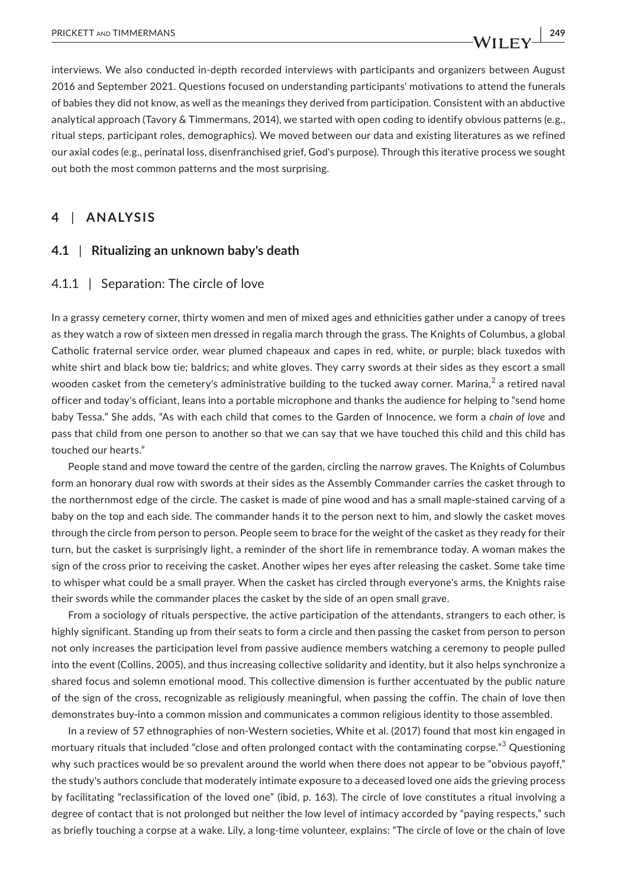interviews. We also conducted in-depth recorded interviews with participants and organizers between August 2016 and September 2021. Questions focused on understanding participants' motivations to attend the funerals of babies they did not know, as well as the meanings they derived from participation. Consistent with an abductive analytical approach (Tavory & Timmermans, 2014), we started with open coding to identify obvious patterns (e.g., ritual steps, participant roles, demographics). We moved between our data and existing literatures as we refined our axial codes (e.g., perinatal loss, disenfranchised grief, God's purpose). Through this iterative process we sought out both the most common patterns and the most surprising.

## **4** | **ANALYSIS**

### **4.1** | **Ritualizing an unknown baby's death**

#### 4.1.1 | Separation: The circle of love

In a grassy cemetery corner, thirty women and men of mixed ages and ethnicities gather under a canopy of trees as they watch a row of sixteen men dressed in regalia march through the grass. The Knights of Columbus, a global Catholic fraternal service order, wear plumed chapeaux and capes in red, white, or purple; black tuxedos with white shirt and black bow tie; baldrics; and white gloves. They carry swords at their sides as they escort a small wooden casket from the cemetery's administrative building to the tucked away corner. Marina, $^2$  a retired naval officer and today's officiant, leans into a portable microphone and thanks the audience for helping to "send home baby Tessa." She adds, "As with each child that comes to the Garden of Innocence, we form a *chain of love* and pass that child from one person to another so that we can say that we have touched this child and this child has touched our hearts."

People stand and move toward the centre of the garden, circling the narrow graves. The Knights of Columbus form an honorary dual row with swords at their sides as the Assembly Commander carries the casket through to the northernmost edge of the circle. The casket is made of pine wood and has a small maple-stained carving of a baby on the top and each side. The commander hands it to the person next to him, and slowly the casket moves through the circle from person to person. People seem to brace for the weight of the casket as they ready for their turn, but the casket is surprisingly light, a reminder of the short life in remembrance today. A woman makes the sign of the cross prior to receiving the casket. Another wipes her eyes after releasing the casket. Some take time to whisper what could be a small prayer. When the casket has circled through everyone's arms, the Knights raise their swords while the commander places the casket by the side of an open small grave.

From a sociology of rituals perspective, the active participation of the attendants, strangers to each other, is highly significant. Standing up from their seats to form a circle and then passing the casket from person to person not only increases the participation level from passive audience members watching a ceremony to people pulled into the event (Collins, 2005), and thus increasing collective solidarity and identity, but it also helps synchronize a shared focus and solemn emotional mood. This collective dimension is further accentuated by the public nature of the sign of the cross, recognizable as religiously meaningful, when passing the coffin. The chain of love then demonstrates buy-into a common mission and communicates a common religious identity to those assembled.

In a review of 57 ethnographies of non-Western societies, White et al. (2017) found that most kin engaged in mortuary rituals that included "close and often prolonged contact with the contaminating corpse." $^3$  Questioning why such practices would be so prevalent around the world when there does not appear to be "obvious payoff," the study's authors conclude that moderately intimate exposure to a deceased loved one aids the grieving process by facilitating "reclassification of the loved one" (ibid, p. 163). The circle of love constitutes a ritual involving a degree of contact that is not prolonged but neither the low level of intimacy accorded by "paying respects," such as briefly touching a corpse at a wake. Lily, a long-time volunteer, explains: "The circle of love or the chain of love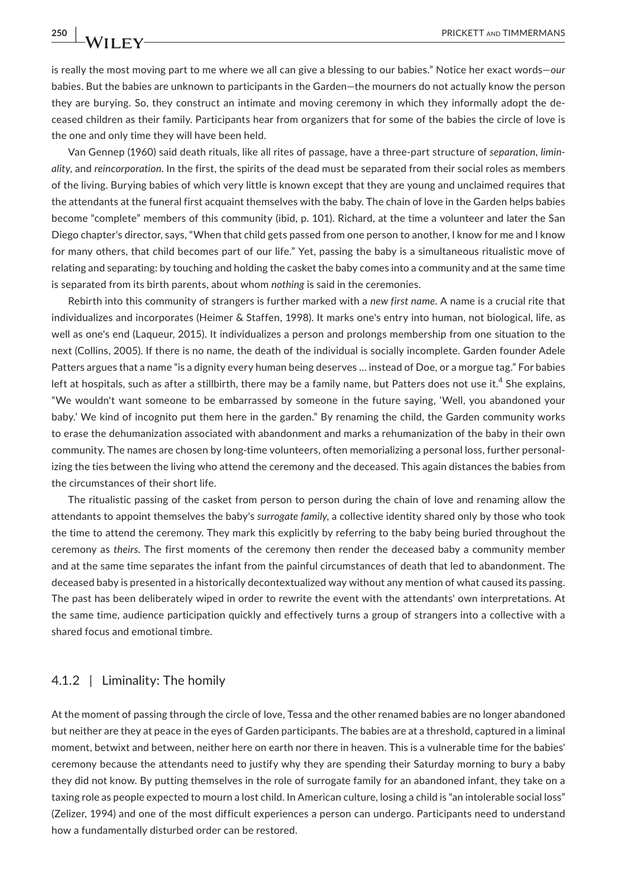is really the most moving part to me where we all can give a blessing to our babies." Notice her exact words—*our* babies. But the babies are unknown to participants in the Garden—the mourners do not actually know the person they are burying. So, they construct an intimate and moving ceremony in which they informally adopt the deceased children as their family. Participants hear from organizers that for some of the babies the circle of love is the one and only time they will have been held.

Van Gennep (1960) said death rituals, like all rites of passage, have a three-part structure of *separation*, *liminality*, and *reincorporation*. In the first, the spirits of the dead must be separated from their social roles as members of the living. Burying babies of which very little is known except that they are young and unclaimed requires that the attendants at the funeral first acquaint themselves with the baby. The chain of love in the Garden helps babies become "complete" members of this community (ibid, p. 101). Richard, at the time a volunteer and later the San Diego chapter's director, says, "When that child gets passed from one person to another, I know for me and I know for many others, that child becomes part of our life." Yet, passing the baby is a simultaneous ritualistic move of relating and separating: by touching and holding the casket the baby comes into a community and at the same time is separated from its birth parents, about whom *nothing* is said in the ceremonies.

Rebirth into this community of strangers is further marked with a *new first name*. A name is a crucial rite that individualizes and incorporates (Heimer & Staffen, 1998). It marks one's entry into human, not biological, life, as well as one's end (Laqueur, 2015). It individualizes a person and prolongs membership from one situation to the next (Collins, 2005). If there is no name, the death of the individual is socially incomplete. Garden founder Adele Patters argues that a name "is a dignity every human being deserves … instead of Doe, or a morgue tag." For babies left at hospitals, such as after a stillbirth, there may be a family name, but Patters does not use it.<sup>4</sup> She explains, "We wouldn't want someone to be embarrassed by someone in the future saying, 'Well, you abandoned your baby.' We kind of incognito put them here in the garden." By renaming the child, the Garden community works to erase the dehumanization associated with abandonment and marks a rehumanization of the baby in their own community. The names are chosen by long-time volunteers, often memorializing a personal loss, further personalizing the ties between the living who attend the ceremony and the deceased. This again distances the babies from the circumstances of their short life.

The ritualistic passing of the casket from person to person during the chain of love and renaming allow the attendants to appoint themselves the baby's *surrogate family*, a collective identity shared only by those who took the time to attend the ceremony. They mark this explicitly by referring to the baby being buried throughout the ceremony as *theirs*. The first moments of the ceremony then render the deceased baby a community member and at the same time separates the infant from the painful circumstances of death that led to abandonment. The deceased baby is presented in a historically decontextualized way without any mention of what caused its passing. The past has been deliberately wiped in order to rewrite the event with the attendants' own interpretations. At the same time, audience participation quickly and effectively turns a group of strangers into a collective with a shared focus and emotional timbre.

### 4.1.2 | Liminality: The homily

At the moment of passing through the circle of love, Tessa and the other renamed babies are no longer abandoned but neither are they at peace in the eyes of Garden participants. The babies are at a threshold, captured in a liminal moment, betwixt and between, neither here on earth nor there in heaven. This is a vulnerable time for the babies' ceremony because the attendants need to justify why they are spending their Saturday morning to bury a baby they did not know. By putting themselves in the role of surrogate family for an abandoned infant, they take on a taxing role as people expected to mourn a lost child. In American culture, losing a child is "an intolerable social loss" (Zelizer, 1994) and one of the most difficult experiences a person can undergo. Participants need to understand how a fundamentally disturbed order can be restored.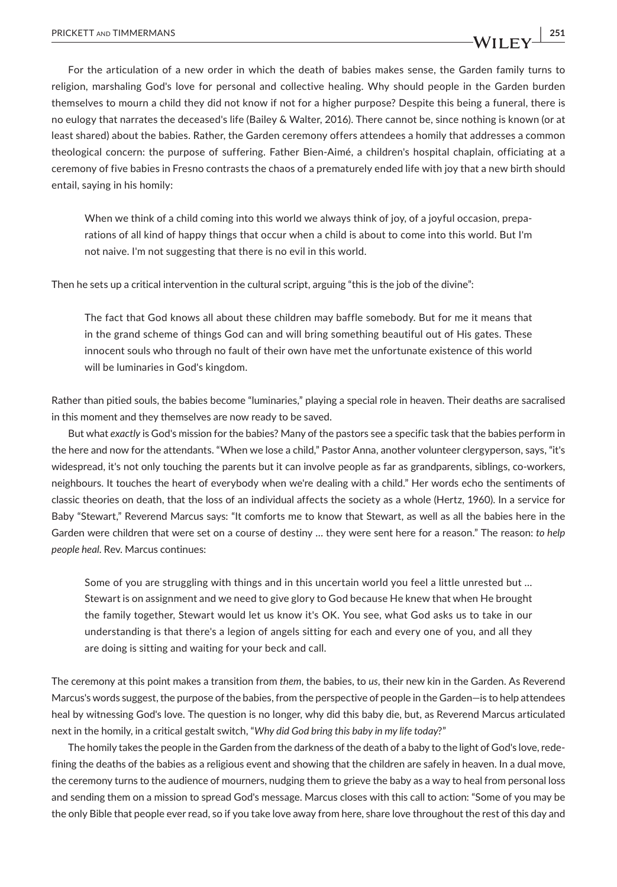For the articulation of a new order in which the death of babies makes sense, the Garden family turns to religion, marshaling God's love for personal and collective healing. Why should people in the Garden burden themselves to mourn a child they did not know if not for a higher purpose? Despite this being a funeral, there is no eulogy that narrates the deceased's life (Bailey & Walter, 2016). There cannot be, since nothing is known (or at least shared) about the babies. Rather, the Garden ceremony offers attendees a homily that addresses a common theological concern: the purpose of suffering. Father Bien-Aimé, a children's hospital chaplain, officiating at a ceremony of five babies in Fresno contrasts the chaos of a prematurely ended life with joy that a new birth should entail, saying in his homily:

When we think of a child coming into this world we always think of joy, of a joyful occasion, preparations of all kind of happy things that occur when a child is about to come into this world. But I'm not naive. I'm not suggesting that there is no evil in this world.

Then he sets up a critical intervention in the cultural script, arguing "this is the job of the divine":

The fact that God knows all about these children may baffle somebody. But for me it means that in the grand scheme of things God can and will bring something beautiful out of His gates. These innocent souls who through no fault of their own have met the unfortunate existence of this world will be luminaries in God's kingdom.

Rather than pitied souls, the babies become "luminaries," playing a special role in heaven. Their deaths are sacralised in this moment and they themselves are now ready to be saved.

But what *exactly* is God's mission for the babies? Many of the pastors see a specific task that the babies perform in the here and now for the attendants. "When we lose a child," Pastor Anna, another volunteer clergyperson, says, "it's widespread, it's not only touching the parents but it can involve people as far as grandparents, siblings, co-workers, neighbours. It touches the heart of everybody when we're dealing with a child." Her words echo the sentiments of classic theories on death, that the loss of an individual affects the society as a whole (Hertz, 1960). In a service for Baby "Stewart," Reverend Marcus says: "It comforts me to know that Stewart, as well as all the babies here in the Garden were children that were set on a course of destiny … they were sent here for a reason." The reason: *to help people heal*. Rev. Marcus continues:

Some of you are struggling with things and in this uncertain world you feel a little unrested but … Stewart is on assignment and we need to give glory to God because He knew that when He brought the family together, Stewart would let us know it's OK. You see, what God asks us to take in our understanding is that there's a legion of angels sitting for each and every one of you, and all they are doing is sitting and waiting for your beck and call.

The ceremony at this point makes a transition from *them*, the babies, to *us*, their new kin in the Garden. As Reverend Marcus's words suggest, the purpose of the babies, from the perspective of people in the Garden—is to help attendees heal by witnessing God's love. The question is no longer, why did this baby die, but, as Reverend Marcus articulated next in the homily, in a critical gestalt switch, "*Why did God bring this baby in my life today*?"

The homily takes the people in the Garden from the darkness of the death of a baby to the light of God's love, redefining the deaths of the babies as a religious event and showing that the children are safely in heaven. In a dual move, the ceremony turns to the audience of mourners, nudging them to grieve the baby as a way to heal from personal loss and sending them on a mission to spread God's message. Marcus closes with this call to action: "Some of you may be the only Bible that people ever read, so if you take love away from here, share love throughout the rest of this day and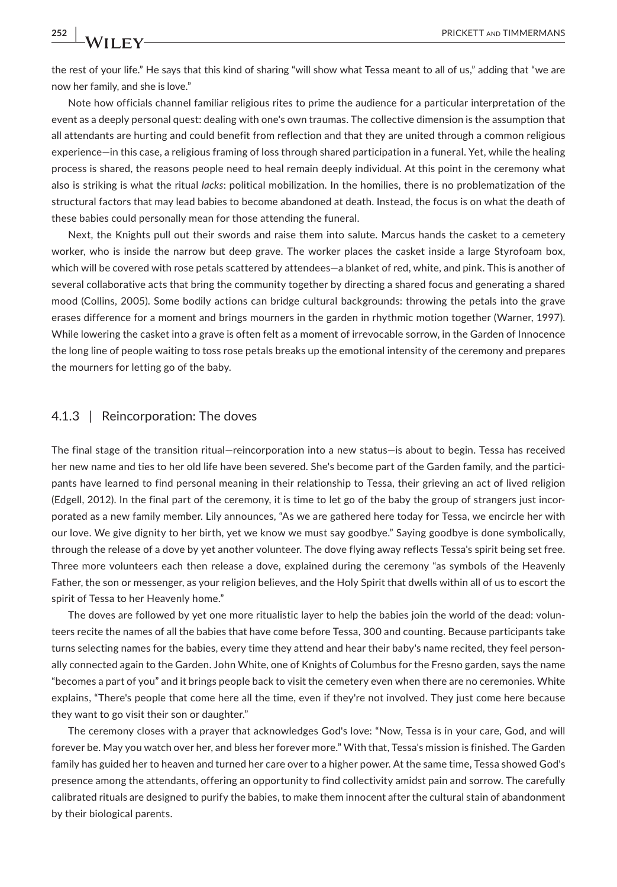the rest of your life." He says that this kind of sharing "will show what Tessa meant to all of us," adding that "we are now her family, and she is love."

Note how officials channel familiar religious rites to prime the audience for a particular interpretation of the event as a deeply personal quest: dealing with one's own traumas. The collective dimension is the assumption that all attendants are hurting and could benefit from reflection and that they are united through a common religious experience—in this case, a religious framing of loss through shared participation in a funeral. Yet, while the healing process is shared, the reasons people need to heal remain deeply individual. At this point in the ceremony what also is striking is what the ritual *lacks*: political mobilization. In the homilies, there is no problematization of the structural factors that may lead babies to become abandoned at death. Instead, the focus is on what the death of these babies could personally mean for those attending the funeral.

Next, the Knights pull out their swords and raise them into salute. Marcus hands the casket to a cemetery worker, who is inside the narrow but deep grave. The worker places the casket inside a large Styrofoam box, which will be covered with rose petals scattered by attendees—a blanket of red, white, and pink. This is another of several collaborative acts that bring the community together by directing a shared focus and generating a shared mood (Collins, 2005). Some bodily actions can bridge cultural backgrounds: throwing the petals into the grave erases difference for a moment and brings mourners in the garden in rhythmic motion together (Warner, 1997). While lowering the casket into a grave is often felt as a moment of irrevocable sorrow, in the Garden of Innocence the long line of people waiting to toss rose petals breaks up the emotional intensity of the ceremony and prepares the mourners for letting go of the baby.

#### 4.1.3 | Reincorporation: The doves

The final stage of the transition ritual—reincorporation into a new status—is about to begin. Tessa has received her new name and ties to her old life have been severed. She's become part of the Garden family, and the participants have learned to find personal meaning in their relationship to Tessa, their grieving an act of lived religion (Edgell, 2012). In the final part of the ceremony, it is time to let go of the baby the group of strangers just incorporated as a new family member. Lily announces, "As we are gathered here today for Tessa, we encircle her with our love. We give dignity to her birth, yet we know we must say goodbye." Saying goodbye is done symbolically, through the release of a dove by yet another volunteer. The dove flying away reflects Tessa's spirit being set free. Three more volunteers each then release a dove, explained during the ceremony "as symbols of the Heavenly Father, the son or messenger, as your religion believes, and the Holy Spirit that dwells within all of us to escort the spirit of Tessa to her Heavenly home."

The doves are followed by yet one more ritualistic layer to help the babies join the world of the dead: volunteers recite the names of all the babies that have come before Tessa, 300 and counting. Because participants take turns selecting names for the babies, every time they attend and hear their baby's name recited, they feel personally connected again to the Garden. John White, one of Knights of Columbus for the Fresno garden, says the name "becomes a part of you" and it brings people back to visit the cemetery even when there are no ceremonies. White explains, "There's people that come here all the time, even if they're not involved. They just come here because they want to go visit their son or daughter."

The ceremony closes with a prayer that acknowledges God's love: "Now, Tessa is in your care, God, and will forever be. May you watch over her, and bless her forever more." With that, Tessa's mission is finished. The Garden family has guided her to heaven and turned her care over to a higher power. At the same time, Tessa showed God's presence among the attendants, offering an opportunity to find collectivity amidst pain and sorrow. The carefully calibrated rituals are designed to purify the babies, to make them innocent after the cultural stain of abandonment by their biological parents.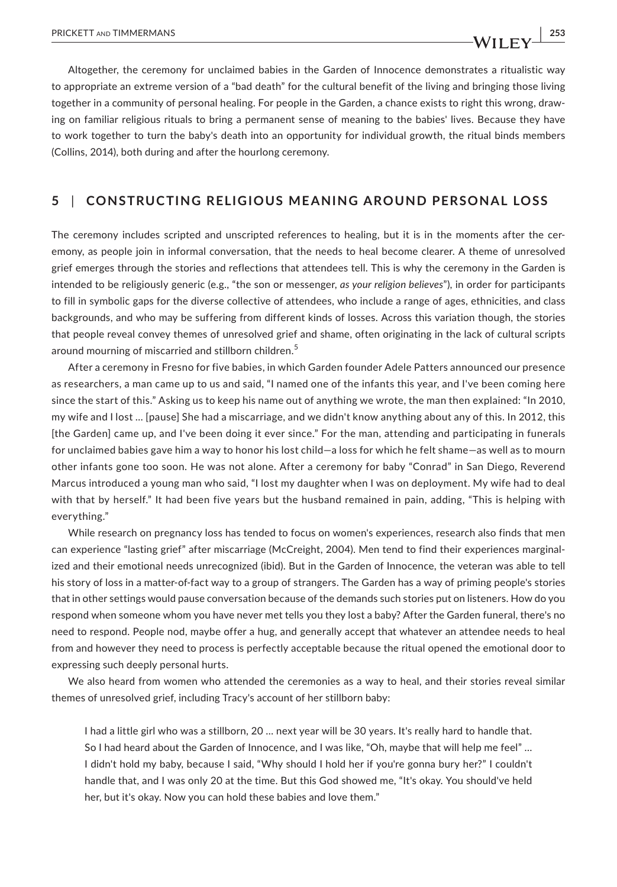Altogether, the ceremony for unclaimed babies in the Garden of Innocence demonstrates a ritualistic way to appropriate an extreme version of a "bad death" for the cultural benefit of the living and bringing those living together in a community of personal healing. For people in the Garden, a chance exists to right this wrong, drawing on familiar religious rituals to bring a permanent sense of meaning to the babies' lives. Because they have to work together to turn the baby's death into an opportunity for individual growth, the ritual binds members (Collins, 2014), both during and after the hourlong ceremony.

## **5** | **CONSTRUCTING RELIGIOUS MEANING AROUND PERSONAL LOSS**

The ceremony includes scripted and unscripted references to healing, but it is in the moments after the ceremony, as people join in informal conversation, that the needs to heal become clearer. A theme of unresolved grief emerges through the stories and reflections that attendees tell. This is why the ceremony in the Garden is intended to be religiously generic (e.g., "the son or messenger, *as your religion believes*"), in order for participants to fill in symbolic gaps for the diverse collective of attendees, who include a range of ages, ethnicities, and class backgrounds, and who may be suffering from different kinds of losses. Across this variation though, the stories that people reveal convey themes of unresolved grief and shame, often originating in the lack of cultural scripts around mourning of miscarried and stillborn children.<sup>5</sup>

After a ceremony in Fresno for five babies, in which Garden founder Adele Patters announced our presence as researchers, a man came up to us and said, "I named one of the infants this year, and I've been coming here since the start of this." Asking us to keep his name out of anything we wrote, the man then explained: "In 2010, my wife and I lost … [pause] She had a miscarriage, and we didn't know anything about any of this. In 2012, this [the Garden] came up, and I've been doing it ever since." For the man, attending and participating in funerals for unclaimed babies gave him a way to honor his lost child—a loss for which he felt shame—as well as to mourn other infants gone too soon. He was not alone. After a ceremony for baby "Conrad" in San Diego, Reverend Marcus introduced a young man who said, "I lost my daughter when I was on deployment. My wife had to deal with that by herself." It had been five years but the husband remained in pain, adding, "This is helping with everything."

While research on pregnancy loss has tended to focus on women's experiences, research also finds that men can experience "lasting grief" after miscarriage (McCreight, 2004). Men tend to find their experiences marginalized and their emotional needs unrecognized (ibid). But in the Garden of Innocence, the veteran was able to tell his story of loss in a matter-of-fact way to a group of strangers. The Garden has a way of priming people's stories that in other settings would pause conversation because of the demands such stories put on listeners. How do you respond when someone whom you have never met tells you they lost a baby? After the Garden funeral, there's no need to respond. People nod, maybe offer a hug, and generally accept that whatever an attendee needs to heal from and however they need to process is perfectly acceptable because the ritual opened the emotional door to expressing such deeply personal hurts.

We also heard from women who attended the ceremonies as a way to heal, and their stories reveal similar themes of unresolved grief, including Tracy's account of her stillborn baby:

I had a little girl who was a stillborn, 20 … next year will be 30 years. It's really hard to handle that. So I had heard about the Garden of Innocence, and I was like, "Oh, maybe that will help me feel" … I didn't hold my baby, because I said, "Why should I hold her if you're gonna bury her?" I couldn't handle that, and I was only 20 at the time. But this God showed me, "It's okay. You should've held her, but it's okay. Now you can hold these babies and love them."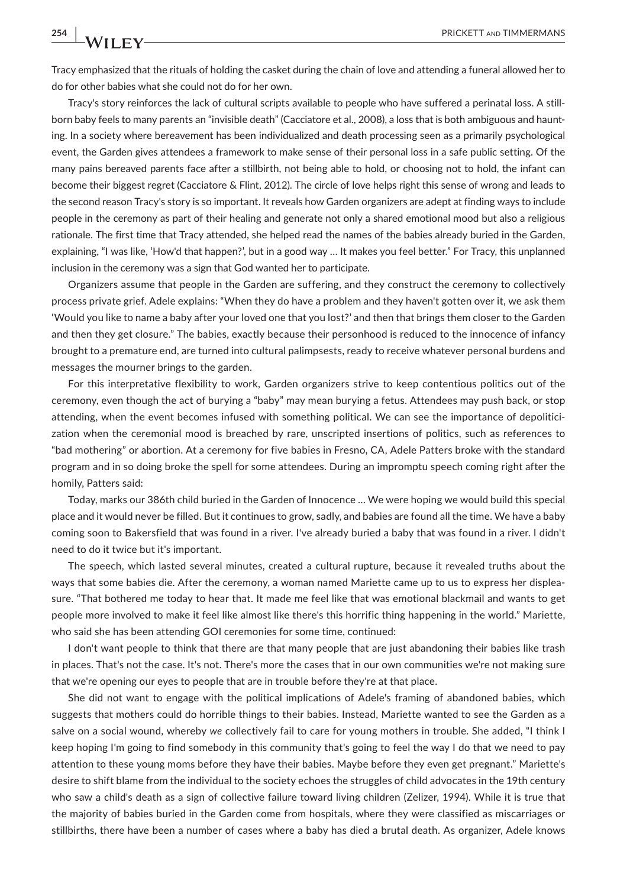Tracy emphasized that the rituals of holding the casket during the chain of love and attending a funeral allowed her to do for other babies what she could not do for her own.

Tracy's story reinforces the lack of cultural scripts available to people who have suffered a perinatal loss. A stillborn baby feels to many parents an "invisible death" (Cacciatore et al., 2008), a loss that is both ambiguous and haunting. In a society where bereavement has been individualized and death processing seen as a primarily psychological event, the Garden gives attendees a framework to make sense of their personal loss in a safe public setting. Of the many pains bereaved parents face after a stillbirth, not being able to hold, or choosing not to hold, the infant can become their biggest regret (Cacciatore & Flint, 2012). The circle of love helps right this sense of wrong and leads to the second reason Tracy's story is so important. It reveals how Garden organizers are adept at finding ways to include people in the ceremony as part of their healing and generate not only a shared emotional mood but also a religious rationale. The first time that Tracy attended, she helped read the names of the babies already buried in the Garden, explaining, "I was like, 'How'd that happen?', but in a good way … It makes you feel better." For Tracy, this unplanned inclusion in the ceremony was a sign that God wanted her to participate.

Organizers assume that people in the Garden are suffering, and they construct the ceremony to collectively process private grief. Adele explains: "When they do have a problem and they haven't gotten over it, we ask them 'Would you like to name a baby after your loved one that you lost?' and then that brings them closer to the Garden and then they get closure." The babies, exactly because their personhood is reduced to the innocence of infancy brought to a premature end, are turned into cultural palimpsests, ready to receive whatever personal burdens and messages the mourner brings to the garden.

For this interpretative flexibility to work, Garden organizers strive to keep contentious politics out of the ceremony, even though the act of burying a "baby" may mean burying a fetus. Attendees may push back, or stop attending, when the event becomes infused with something political. We can see the importance of depoliticization when the ceremonial mood is breached by rare, unscripted insertions of politics, such as references to "bad mothering" or abortion. At a ceremony for five babies in Fresno, CA, Adele Patters broke with the standard program and in so doing broke the spell for some attendees. During an impromptu speech coming right after the homily, Patters said:

Today, marks our 386th child buried in the Garden of Innocence … We were hoping we would build this special place and it would never be filled. But it continues to grow, sadly, and babies are found all the time. We have a baby coming soon to Bakersfield that was found in a river. I've already buried a baby that was found in a river. I didn't need to do it twice but it's important.

The speech, which lasted several minutes, created a cultural rupture, because it revealed truths about the ways that some babies die. After the ceremony, a woman named Mariette came up to us to express her displeasure. "That bothered me today to hear that. It made me feel like that was emotional blackmail and wants to get people more involved to make it feel like almost like there's this horrific thing happening in the world." Mariette, who said she has been attending GOI ceremonies for some time, continued:

I don't want people to think that there are that many people that are just abandoning their babies like trash in places. That's not the case. It's not. There's more the cases that in our own communities we're not making sure that we're opening our eyes to people that are in trouble before they're at that place.

She did not want to engage with the political implications of Adele's framing of abandoned babies, which suggests that mothers could do horrible things to their babies. Instead, Mariette wanted to see the Garden as a salve on a social wound, whereby *we* collectively fail to care for young mothers in trouble. She added, "I think I keep hoping I'm going to find somebody in this community that's going to feel the way I do that we need to pay attention to these young moms before they have their babies. Maybe before they even get pregnant." Mariette's desire to shift blame from the individual to the society echoes the struggles of child advocates in the 19th century who saw a child's death as a sign of collective failure toward living children (Zelizer, 1994). While it is true that the majority of babies buried in the Garden come from hospitals, where they were classified as miscarriages or stillbirths, there have been a number of cases where a baby has died a brutal death. As organizer, Adele knows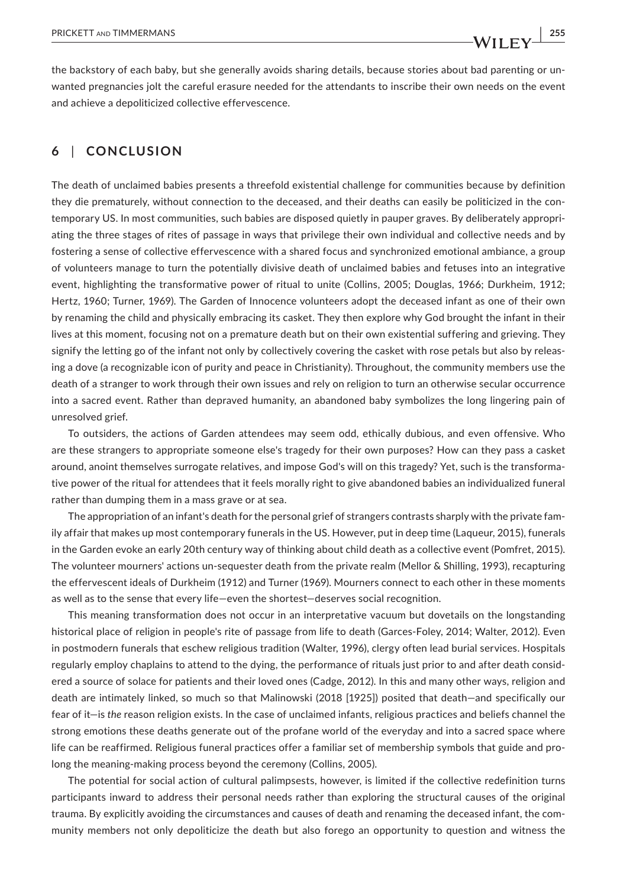the backstory of each baby, but she generally avoids sharing details, because stories about bad parenting or unwanted pregnancies jolt the careful erasure needed for the attendants to inscribe their own needs on the event and achieve a depoliticized collective effervescence.

## **6** | **CONCLUSION**

The death of unclaimed babies presents a threefold existential challenge for communities because by definition they die prematurely, without connection to the deceased, and their deaths can easily be politicized in the contemporary US. In most communities, such babies are disposed quietly in pauper graves. By deliberately appropriating the three stages of rites of passage in ways that privilege their own individual and collective needs and by fostering a sense of collective effervescence with a shared focus and synchronized emotional ambiance, a group of volunteers manage to turn the potentially divisive death of unclaimed babies and fetuses into an integrative event, highlighting the transformative power of ritual to unite (Collins, 2005; Douglas, 1966; Durkheim, 1912; Hertz, 1960; Turner, 1969). The Garden of Innocence volunteers adopt the deceased infant as one of their own by renaming the child and physically embracing its casket. They then explore why God brought the infant in their lives at this moment, focusing not on a premature death but on their own existential suffering and grieving. They signify the letting go of the infant not only by collectively covering the casket with rose petals but also by releasing a dove (a recognizable icon of purity and peace in Christianity). Throughout, the community members use the death of a stranger to work through their own issues and rely on religion to turn an otherwise secular occurrence into a sacred event. Rather than depraved humanity, an abandoned baby symbolizes the long lingering pain of unresolved grief.

To outsiders, the actions of Garden attendees may seem odd, ethically dubious, and even offensive. Who are these strangers to appropriate someone else's tragedy for their own purposes? How can they pass a casket around, anoint themselves surrogate relatives, and impose God's will on this tragedy? Yet, such is the transformative power of the ritual for attendees that it feels morally right to give abandoned babies an individualized funeral rather than dumping them in a mass grave or at sea.

The appropriation of an infant's death for the personal grief of strangers contrasts sharply with the private family affair that makes up most contemporary funerals in the US. However, put in deep time (Laqueur, 2015), funerals in the Garden evoke an early 20th century way of thinking about child death as a collective event (Pomfret, 2015). The volunteer mourners' actions un-sequester death from the private realm (Mellor & Shilling, 1993), recapturing the effervescent ideals of Durkheim (1912) and Turner (1969). Mourners connect to each other in these moments as well as to the sense that every life—even the shortest—deserves social recognition.

This meaning transformation does not occur in an interpretative vacuum but dovetails on the longstanding historical place of religion in people's rite of passage from life to death (Garces-Foley, 2014; Walter, 2012). Even in postmodern funerals that eschew religious tradition (Walter, 1996), clergy often lead burial services. Hospitals regularly employ chaplains to attend to the dying, the performance of rituals just prior to and after death considered a source of solace for patients and their loved ones (Cadge, 2012). In this and many other ways, religion and death are intimately linked, so much so that Malinowski (2018 [1925]) posited that death—and specifically our fear of it—is *the* reason religion exists. In the case of unclaimed infants, religious practices and beliefs channel the strong emotions these deaths generate out of the profane world of the everyday and into a sacred space where life can be reaffirmed. Religious funeral practices offer a familiar set of membership symbols that guide and prolong the meaning-making process beyond the ceremony (Collins, 2005).

The potential for social action of cultural palimpsests, however, is limited if the collective redefinition turns participants inward to address their personal needs rather than exploring the structural causes of the original trauma. By explicitly avoiding the circumstances and causes of death and renaming the deceased infant, the community members not only depoliticize the death but also forego an opportunity to question and witness the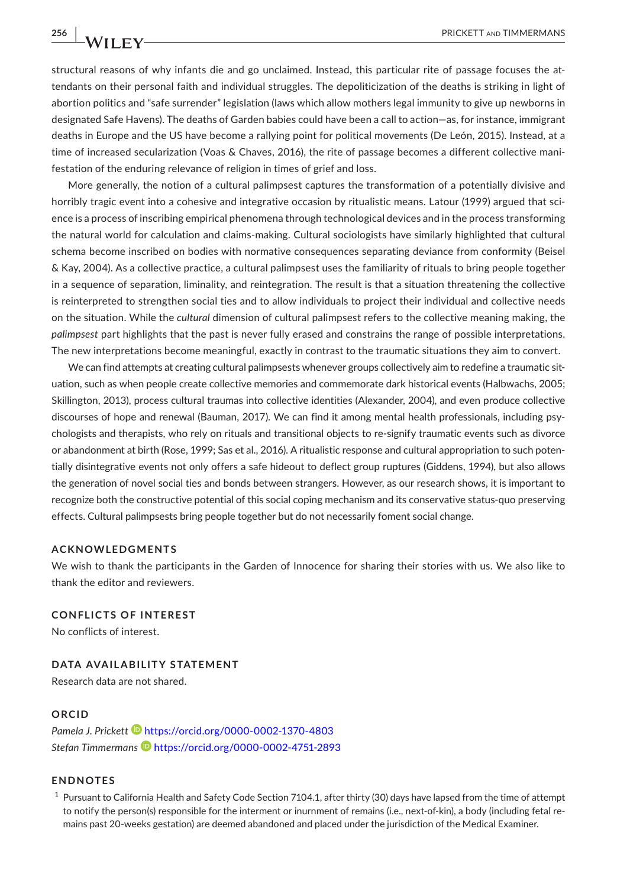structural reasons of why infants die and go unclaimed. Instead, this particular rite of passage focuses the attendants on their personal faith and individual struggles. The depoliticization of the deaths is striking in light of abortion politics and "safe surrender" legislation (laws which allow mothers legal immunity to give up newborns in designated Safe Havens). The deaths of Garden babies could have been a call to action—as, for instance, immigrant deaths in Europe and the US have become a rallying point for political movements (De León, 2015). Instead, at a time of increased secularization (Voas & Chaves, 2016), the rite of passage becomes a different collective manifestation of the enduring relevance of religion in times of grief and loss.

More generally, the notion of a cultural palimpsest captures the transformation of a potentially divisive and horribly tragic event into a cohesive and integrative occasion by ritualistic means. Latour (1999) argued that science is a process of inscribing empirical phenomena through technological devices and in the process transforming the natural world for calculation and claims-making. Cultural sociologists have similarly highlighted that cultural schema become inscribed on bodies with normative consequences separating deviance from conformity (Beisel & Kay, 2004). As a collective practice, a cultural palimpsest uses the familiarity of rituals to bring people together in a sequence of separation, liminality, and reintegration. The result is that a situation threatening the collective is reinterpreted to strengthen social ties and to allow individuals to project their individual and collective needs on the situation. While the *cultural* dimension of cultural palimpsest refers to the collective meaning making, the *palimpsest* part highlights that the past is never fully erased and constrains the range of possible interpretations. The new interpretations become meaningful, exactly in contrast to the traumatic situations they aim to convert.

We can find attempts at creating cultural palimpsests whenever groups collectively aim to redefine a traumatic situation, such as when people create collective memories and commemorate dark historical events (Halbwachs, 2005; Skillington, 2013), process cultural traumas into collective identities (Alexander, 2004), and even produce collective discourses of hope and renewal (Bauman, 2017). We can find it among mental health professionals, including psychologists and therapists, who rely on rituals and transitional objects to re-signify traumatic events such as divorce or abandonment at birth (Rose, 1999; Sas et al., 2016). A ritualistic response and cultural appropriation to such potentially disintegrative events not only offers a safe hideout to deflect group ruptures (Giddens, 1994), but also allows the generation of novel social ties and bonds between strangers. However, as our research shows, it is important to recognize both the constructive potential of this social coping mechanism and its conservative status-quo preserving effects. Cultural palimpsests bring people together but do not necessarily foment social change.

#### **ACKNOWLEDGMENTS**

We wish to thank the participants in the Garden of Innocence for sharing their stories with us. We also like to thank the editor and reviewers.

**CONFLICTS OF INTEREST** No conflicts of interest.

**DATA AVAILABILITY STATEMENT**

Research data are not shared.

#### **ORCID**

Pamela J. Prickett<sup> 1</sup> <https://orcid.org/0000-0002-1370-4803> *Stefan Timmerman[s](https://orcid.org/0000-0002-4751-2893)* <https://orcid.org/0000-0002-4751-2893>

## **ENDNOTES**

 $1$  Pursuant to California Health and Safety Code Section 7104.1, after thirty (30) days have lapsed from the time of attempt to notify the person(s) responsible for the interment or inurnment of remains (i.e., next-of-kin), a body (including fetal remains past 20-weeks gestation) are deemed abandoned and placed under the jurisdiction of the Medical Examiner.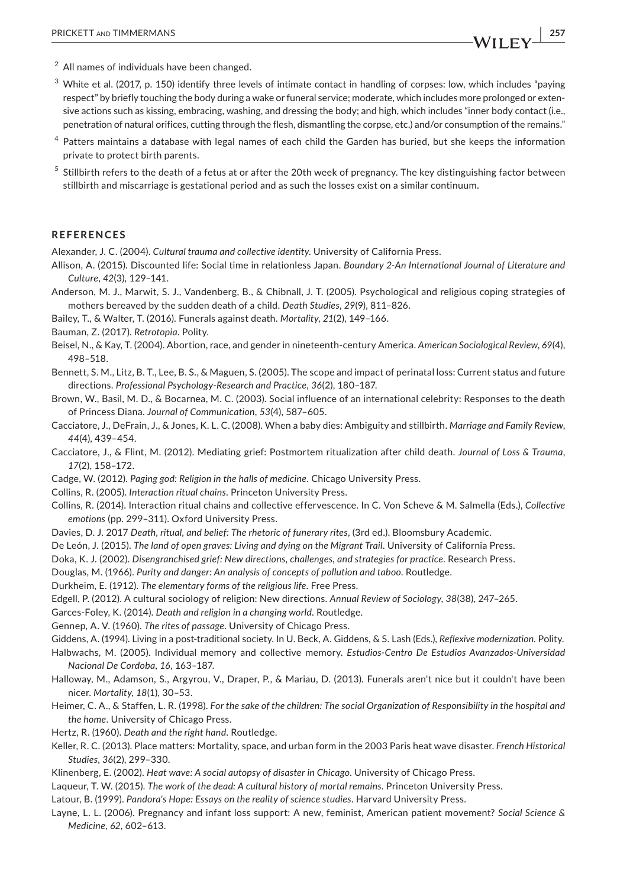- $3$  White et al. (2017, p. 150) identify three levels of intimate contact in handling of corpses: low, which includes "paying respect" by briefly touching the body during a wake or funeral service; moderate, which includes more prolonged or extensive actions such as kissing, embracing, washing, and dressing the body; and high, which includes "inner body contact (i.e., penetration of natural orifices, cutting through the flesh, dismantling the corpse, etc.) and/or consumption of the remains."
- $4$  Patters maintains a database with legal names of each child the Garden has buried, but she keeps the information private to protect birth parents.
- $<sup>5</sup>$  Stillbirth refers to the death of a fetus at or after the 20th week of pregnancy. The key distinguishing factor between</sup> stillbirth and miscarriage is gestational period and as such the losses exist on a similar continuum.

#### **REFERENCES**

Alexander, J. C. (2004). *Cultural trauma and collective identity*. University of California Press.

- Allison, A. (2015). Discounted life: Social time in relationless Japan. *Boundary 2-An International Journal of Literature and Culture*, *42*(3), 129–141.
- Anderson, M. J., Marwit, S. J., Vandenberg, B., & Chibnall, J. T. (2005). Psychological and religious coping strategies of mothers bereaved by the sudden death of a child. *Death Studies*, *29*(9), 811–826.
- Bailey, T., & Walter, T. (2016). Funerals against death. *Mortality*, *21*(2), 149–166.
- Bauman, Z. (2017). *Retrotopia*. Polity.
- Beisel, N., & Kay, T. (2004). Abortion, race, and gender in nineteenth-century America. *American Sociological Review*, *69*(4), 498–518.
- Bennett, S. M., Litz, B. T., Lee, B. S., & Maguen, S. (2005). The scope and impact of perinatal loss: Current status and future directions. *Professional Psychology-Research and Practice*, *36*(2), 180–187.
- Brown, W., Basil, M. D., & Bocarnea, M. C. (2003). Social influence of an international celebrity: Responses to the death of Princess Diana. *Journal of Communication*, *53*(4), 587–605.
- Cacciatore, J., DeFrain, J., & Jones, K. L. C. (2008). When a baby dies: Ambiguity and stillbirth. *Marriage and Family Review*, *44*(4), 439–454.
- Cacciatore, J., & Flint, M. (2012). Mediating grief: Postmortem ritualization after child death. *Journal of Loss & Trauma*, *17*(2), 158–172.
- Cadge, W. (2012). *Paging god: Religion in the halls of medicine*. Chicago University Press.
- Collins, R. (2005). *Interaction ritual chains*. Princeton University Press.
- Collins, R. (2014). Interaction ritual chains and collective effervescence. In C. Von Scheve & M. Salmella (Eds.), *Collective emotions* (pp. 299–311). Oxford University Press.
- Davies, D. J. 2017 *Death, ritual, and belief: The rhetoric of funerary rites*, (3rd ed.). Bloomsbury Academic.
- De León, J. (2015). *The land of open graves: Living and dying on the Migrant Trail*. University of California Press.
- Doka, K. J. (2002). *Disengranchised grief: New directions, challenges, and strategies for practice*. Research Press.
- Douglas, M. (1966). *Purity and danger: An analysis of concepts of pollution and taboo*. Routledge.
- Durkheim, E. (1912). *The elementary forms of the religious life*. Free Press.
- Edgell, P. (2012). A cultural sociology of religion: New directions. *Annual Review of Sociology*, *38*(38), 247–265.
- Garces-Foley, K. (2014). *Death and religion in a changing world*. Routledge.
- Gennep, A. V. (1960). *The rites of passage*. University of Chicago Press.
- Giddens, A. (1994). Living in a post-traditional society. In U. Beck, A. Giddens, & S. Lash (Eds.), *Reflexive modernization*. Polity.
- Halbwachs, M. (2005). Individual memory and collective memory. *Estudios-Centro De Estudios Avanzados-Universidad Nacional De Cordoba*, *16*, 163–187.
- Halloway, M., Adamson, S., Argyrou, V., Draper, P., & Mariau, D. (2013). Funerals aren't nice but it couldn't have been nicer. *Mortality*, *18*(1), 30–53.
- Heimer, C. A., & Staffen, L. R. (1998). *For the sake of the children: The social Organization of Responsibility in the hospital and the home*. University of Chicago Press.
- Hertz, R. (1960). *Death and the right hand*. Routledge.
- Keller, R. C. (2013). Place matters: Mortality, space, and urban form in the 2003 Paris heat wave disaster. *French Historical Studies*, *36*(2), 299–330.
- Klinenberg, E. (2002). *Heat wave: A social autopsy of disaster in Chicago*. University of Chicago Press.
- Laqueur, T. W. (2015). *The work of the dead: A cultural history of mortal remains*. Princeton University Press.
- Latour, B. (1999). *Pandora's Hope: Essays on the reality of science studies*. Harvard University Press.
- Layne, L. L. (2006). Pregnancy and infant loss support: A new, feminist, American patient movement? *Social Science & Medicine*, *62*, 602–613.